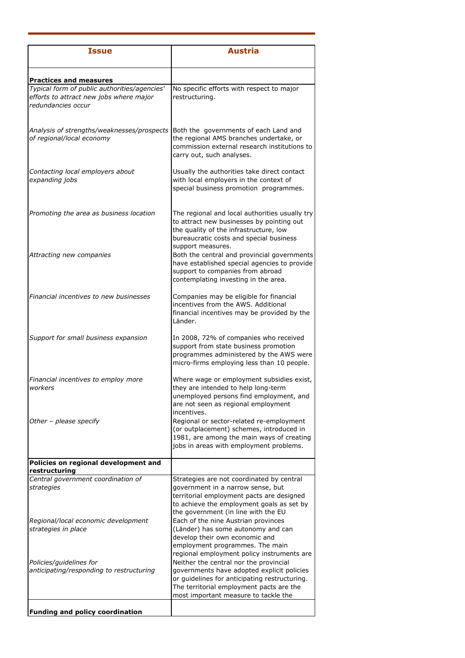| <b>Issue</b>                                                                                                  | <b>Austria</b>                                                                                                                                                                                                            |
|---------------------------------------------------------------------------------------------------------------|---------------------------------------------------------------------------------------------------------------------------------------------------------------------------------------------------------------------------|
| <b>Practices and measures</b>                                                                                 |                                                                                                                                                                                                                           |
| Typical form of public authorities/agencies'<br>efforts to attract new jobs where major<br>redundancies occur | No specific efforts with respect to major<br>restructuring.                                                                                                                                                               |
| Analysis of strengths/weaknesses/prospects<br>of regional/local economy                                       | Both the governments of each Land and<br>the regional AMS branches undertake, or<br>commission external research institutions to<br>carry out, such analyses.                                                             |
| Contacting local employers about<br>expanding jobs                                                            | Usually the authorities take direct contact<br>with local employers in the context of<br>special business promotion programmes.                                                                                           |
| Promoting the area as business location                                                                       | The regional and local authorities usually try<br>to attract new businesses by pointing out<br>the quality of the infrastructure, low<br>bureaucratic costs and special business                                          |
| Attracting new companies                                                                                      | support measures.<br>Both the central and provincial governments<br>have established special agencies to provide<br>support to companies from abroad<br>contemplating investing in the area.                              |
| Financial incentives to new businesses                                                                        | Companies may be eligible for financial<br>incentives from the AWS. Additional<br>financial incentives may be provided by the<br>Länder.                                                                                  |
| Support for small business expansion                                                                          | In 2008, 72% of companies who received<br>support from state business promotion<br>programmes administered by the AWS were<br>micro-firms employing less than 10 people.                                                  |
| Financial incentives to employ more<br>workers                                                                | Where wage or employment subsidies exist,<br>they are intended to help long-term<br>unemployed persons find employment, and<br>are not seen as regional employment                                                        |
| Other - please specify                                                                                        | incentives.<br>Regional or sector-related re-employment<br>(or outplacement) schemes, introduced in<br>1981, are among the main ways of creating<br>jobs in areas with employment problems.                               |
| Policies on regional development and<br>restructuring                                                         |                                                                                                                                                                                                                           |
| Central government coordination of<br>strategies                                                              | Strategies are not coordinated by central<br>government in a narrow sense, but<br>territorial employment pacts are designed<br>to achieve the employment goals as set by<br>the government (in line with the EU           |
| Regional/local economic development<br>strategies in place                                                    | Each of the nine Austrian provinces<br>(Länder) has some autonomy and can<br>develop their own economic and<br>employment programmes. The main<br>regional employment policy instruments are                              |
| Policies/guidelines for<br>anticipating/responding to restructuring                                           | Neither the central nor the provincial<br>governments have adopted explicit policies<br>or guidelines for anticipating restructuring.<br>The territorial employment pacts are the<br>most important measure to tackle the |
| <b>Funding and policy coordination</b>                                                                        |                                                                                                                                                                                                                           |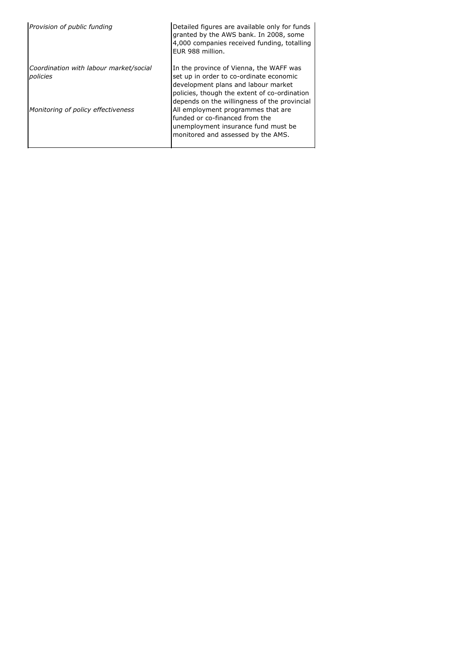| Provision of public funding                        | Detailed figures are available only for funds<br>granted by the AWS bank. In 2008, some<br>4,000 companies received funding, totalling<br>EUR 988 million.                                                                |
|----------------------------------------------------|---------------------------------------------------------------------------------------------------------------------------------------------------------------------------------------------------------------------------|
| Coordination with labour market/social<br>policies | In the province of Vienna, the WAFF was<br>set up in order to co-ordinate economic<br>development plans and labour market<br>policies, though the extent of co-ordination<br>depends on the willingness of the provincial |
| Monitoring of policy effectiveness                 | All employment programmes that are<br>funded or co-financed from the<br>unemployment insurance fund must be<br>monitored and assessed by the AMS.                                                                         |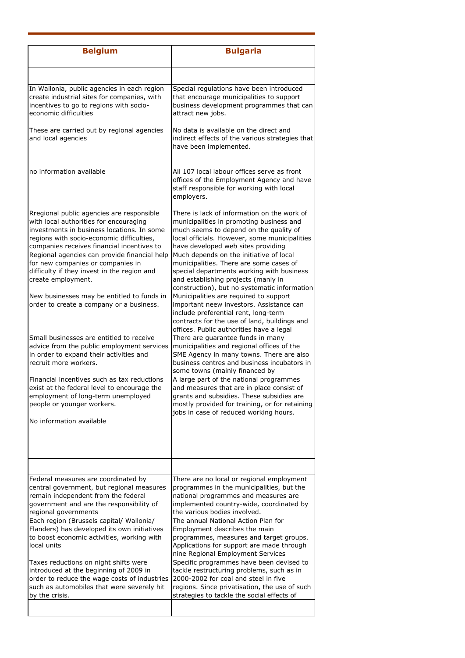| <b>Belgium</b>                                                                                                                                                                                                                                                                                                                                                                                                                                                                                                                                                                                                                                                                                                                                                                                                   | <b>Bulgaria</b>                                                                                                                                                                                                                                                                                                                                                                                                                                                                                                                                                                                                                                                                                                                                                                                                                                                                                                                                                                                                                                                                                                               |
|------------------------------------------------------------------------------------------------------------------------------------------------------------------------------------------------------------------------------------------------------------------------------------------------------------------------------------------------------------------------------------------------------------------------------------------------------------------------------------------------------------------------------------------------------------------------------------------------------------------------------------------------------------------------------------------------------------------------------------------------------------------------------------------------------------------|-------------------------------------------------------------------------------------------------------------------------------------------------------------------------------------------------------------------------------------------------------------------------------------------------------------------------------------------------------------------------------------------------------------------------------------------------------------------------------------------------------------------------------------------------------------------------------------------------------------------------------------------------------------------------------------------------------------------------------------------------------------------------------------------------------------------------------------------------------------------------------------------------------------------------------------------------------------------------------------------------------------------------------------------------------------------------------------------------------------------------------|
|                                                                                                                                                                                                                                                                                                                                                                                                                                                                                                                                                                                                                                                                                                                                                                                                                  |                                                                                                                                                                                                                                                                                                                                                                                                                                                                                                                                                                                                                                                                                                                                                                                                                                                                                                                                                                                                                                                                                                                               |
| In Wallonia, public agencies in each region<br>create industrial sites for companies, with<br>incentives to go to regions with socio-<br>economic difficulties                                                                                                                                                                                                                                                                                                                                                                                                                                                                                                                                                                                                                                                   | Special regulations have been introduced<br>that encourage municipalities to support<br>business development programmes that can<br>attract new jobs.                                                                                                                                                                                                                                                                                                                                                                                                                                                                                                                                                                                                                                                                                                                                                                                                                                                                                                                                                                         |
| These are carried out by regional agencies<br>and local agencies                                                                                                                                                                                                                                                                                                                                                                                                                                                                                                                                                                                                                                                                                                                                                 | No data is available on the direct and<br>indirect effects of the various strategies that<br>have been implemented.                                                                                                                                                                                                                                                                                                                                                                                                                                                                                                                                                                                                                                                                                                                                                                                                                                                                                                                                                                                                           |
| no information available                                                                                                                                                                                                                                                                                                                                                                                                                                                                                                                                                                                                                                                                                                                                                                                         | All 107 local labour offices serve as front<br>offices of the Employment Agency and have<br>staff responsible for working with local<br>employers.                                                                                                                                                                                                                                                                                                                                                                                                                                                                                                                                                                                                                                                                                                                                                                                                                                                                                                                                                                            |
| Rregional public agencies are responsible<br>with local authorities for encouraging<br>investments in business locations. In some<br>regions with socio-economic difficulties,<br>companies receives financial incentives to<br>Regional agencies can provide financial help<br>for new companies or companies in<br>difficulty if they invest in the region and<br>create employment.<br>New businesses may be entitled to funds in<br>order to create a company or a business.<br>Small businesses are entitled to receive<br>advice from the public employment services<br>in order to expand their activities and<br>recruit more workers.<br>Financial incentives such as tax reductions<br>exist at the federal level to encourage the<br>employment of long-term unemployed<br>people or younger workers. | There is lack of information on the work of<br>municipalities in promoting business and<br>much seems to depend on the quality of<br>local officials. However, some municipalities<br>have developed web sites providing<br>Much depends on the initiative of local<br>municipalities. There are some cases of<br>special departments working with business<br>and establishing projects (manly in<br>construction), but no systematic information<br>Municipalities are required to support<br>important neew investors. Assistance can<br>include preferential rent, long-term<br>contracts for the use of land, buildings and<br>offices. Public authorities have a legal<br>There are guarantee funds in many<br>municipalities and regional offices of the<br>SME Agency in many towns. There are also<br>business centres and business incubators in<br>some towns (mainly financed by<br>A large part of the national programmes<br>and measures that are in place consist of<br>grants and subsidies. These subsidies are<br>mostly provided for training, or for retaining<br>jobs in case of reduced working hours. |
| No information available                                                                                                                                                                                                                                                                                                                                                                                                                                                                                                                                                                                                                                                                                                                                                                                         |                                                                                                                                                                                                                                                                                                                                                                                                                                                                                                                                                                                                                                                                                                                                                                                                                                                                                                                                                                                                                                                                                                                               |
|                                                                                                                                                                                                                                                                                                                                                                                                                                                                                                                                                                                                                                                                                                                                                                                                                  |                                                                                                                                                                                                                                                                                                                                                                                                                                                                                                                                                                                                                                                                                                                                                                                                                                                                                                                                                                                                                                                                                                                               |
| Federal measures are coordinated by<br>central government, but regional measures<br>remain independent from the federal<br>government and are the responsibility of<br>regional governments<br>Each region (Brussels capital/ Wallonia/<br>Flanders) has developed its own initiatives<br>to boost economic activities, working with<br>local units<br>Taxes reductions on night shifts were<br>introduced at the beginning of 2009 in<br>order to reduce the wage costs of industries                                                                                                                                                                                                                                                                                                                           | There are no local or regional employment<br>programmes in the municipalities, but the<br>national programmes and measures are<br>implemented country-wide, coordinated by<br>the various bodies involved.<br>The annual National Action Plan for<br>Employment describes the main<br>programmes, measures and target groups.<br>Applications for support are made through<br>nine Regional Employment Services<br>Specific programmes have been devised to<br>tackle restructuring problems, such as in<br>2000-2002 for coal and steel in five                                                                                                                                                                                                                                                                                                                                                                                                                                                                                                                                                                              |
| such as automobiles that were severely hit<br>by the crisis.                                                                                                                                                                                                                                                                                                                                                                                                                                                                                                                                                                                                                                                                                                                                                     | regions. Since privatisation, the use of such<br>strategies to tackle the social effects of                                                                                                                                                                                                                                                                                                                                                                                                                                                                                                                                                                                                                                                                                                                                                                                                                                                                                                                                                                                                                                   |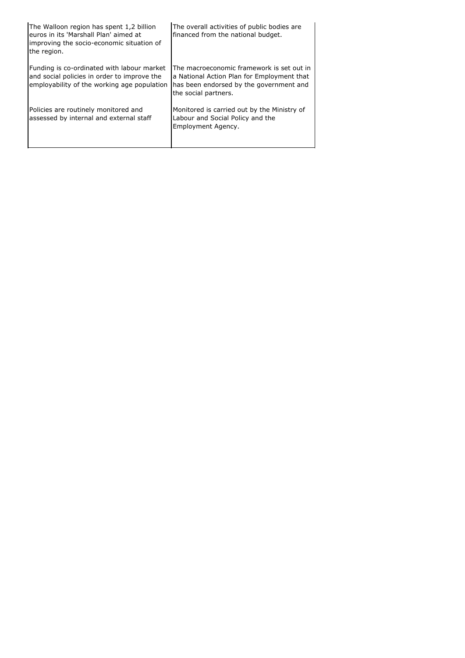| The Walloon region has spent 1,2 billion<br>euros in its 'Marshall Plan' aimed at<br>improving the socio-economic situation of<br>the region. | The overall activities of public bodies are<br>financed from the national budget.                                                                          |
|-----------------------------------------------------------------------------------------------------------------------------------------------|------------------------------------------------------------------------------------------------------------------------------------------------------------|
| Funding is co-ordinated with labour market<br>and social policies in order to improve the<br>employability of the working age population      | The macroeconomic framework is set out in<br>a National Action Plan for Employment that<br>has been endorsed by the government and<br>the social partners. |
| Policies are routinely monitored and<br>assessed by internal and external staff                                                               | Monitored is carried out by the Ministry of<br>Labour and Social Policy and the<br>Employment Agency.                                                      |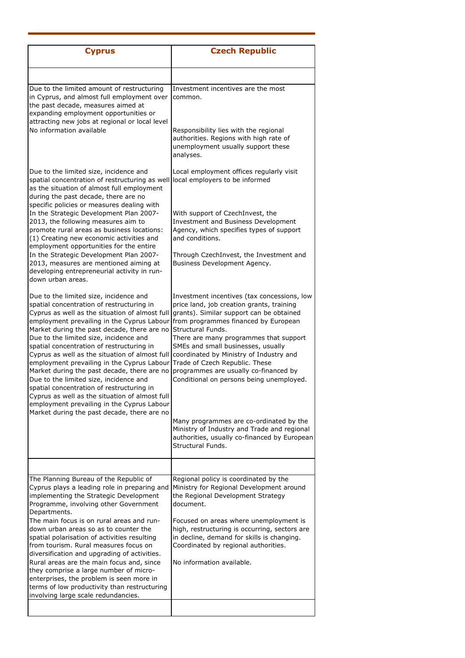| <b>Cyprus</b>                                                                                                                                                                                                                                                                                                                                                                                                                                                                                                                                                                                                                                                                                                  | <b>Czech Republic</b>                                                                                                                                                                                                                                                                                                                                                                                                                               |
|----------------------------------------------------------------------------------------------------------------------------------------------------------------------------------------------------------------------------------------------------------------------------------------------------------------------------------------------------------------------------------------------------------------------------------------------------------------------------------------------------------------------------------------------------------------------------------------------------------------------------------------------------------------------------------------------------------------|-----------------------------------------------------------------------------------------------------------------------------------------------------------------------------------------------------------------------------------------------------------------------------------------------------------------------------------------------------------------------------------------------------------------------------------------------------|
|                                                                                                                                                                                                                                                                                                                                                                                                                                                                                                                                                                                                                                                                                                                |                                                                                                                                                                                                                                                                                                                                                                                                                                                     |
| Due to the limited amount of restructuring<br>in Cyprus, and almost full employment over<br>the past decade, measures aimed at<br>expanding employment opportunities or<br>attracting new jobs at regional or local level<br>No information available                                                                                                                                                                                                                                                                                                                                                                                                                                                          | Investment incentives are the most<br>common.<br>Responsibility lies with the regional                                                                                                                                                                                                                                                                                                                                                              |
|                                                                                                                                                                                                                                                                                                                                                                                                                                                                                                                                                                                                                                                                                                                | authorities. Regions with high rate of<br>unemployment usually support these<br>analyses.                                                                                                                                                                                                                                                                                                                                                           |
| Due to the limited size, incidence and<br>spatial concentration of restructuring as well<br>as the situation of almost full employment<br>during the past decade, there are no                                                                                                                                                                                                                                                                                                                                                                                                                                                                                                                                 | Local employment offices regularly visit<br>local employers to be informed                                                                                                                                                                                                                                                                                                                                                                          |
| specific policies or measures dealing with<br>In the Strategic Development Plan 2007-<br>2013, the following measures aim to<br>promote rural areas as business locations:<br>(1) Creating new economic activities and                                                                                                                                                                                                                                                                                                                                                                                                                                                                                         | With support of CzechInvest, the<br><b>Investment and Business Development</b><br>Agency, which specifies types of support<br>and conditions.                                                                                                                                                                                                                                                                                                       |
| employment opportunities for the entire<br>In the Strategic Development Plan 2007-<br>2013, measures are mentioned aiming at<br>developing entrepreneurial activity in run-<br>down urban areas.                                                                                                                                                                                                                                                                                                                                                                                                                                                                                                               | Through CzechInvest, the Investment and<br>Business Development Agency.                                                                                                                                                                                                                                                                                                                                                                             |
| Due to the limited size, incidence and<br>spatial concentration of restructuring in<br>Cyprus as well as the situation of almost full<br>employment prevailing in the Cyprus Labour<br>Market during the past decade, there are no<br>Due to the limited size, incidence and<br>spatial concentration of restructuring in<br>Cyprus as well as the situation of almost full<br>employment prevailing in the Cyprus Labour<br>Market during the past decade, there are no<br>Due to the limited size, incidence and<br>spatial concentration of restructuring in<br>Cyprus as well as the situation of almost full<br>employment prevailing in the Cyprus Labour<br>Market during the past decade, there are no | Investment incentives (tax concessions, low<br>price land, job creation grants, training<br>grants). Similar support can be obtained<br>from programmes financed by European<br>Structural Funds.<br>There are many programmes that support<br>SMEs and small businesses, usually<br>coordinated by Ministry of Industry and<br>Trade of Czech Republic. These<br>programmes are usually co-financed by<br>Conditional on persons being unemployed. |
|                                                                                                                                                                                                                                                                                                                                                                                                                                                                                                                                                                                                                                                                                                                | Many programmes are co-ordinated by the<br>Ministry of Industry and Trade and regional<br>authorities, usually co-financed by European<br>Structural Funds.                                                                                                                                                                                                                                                                                         |
|                                                                                                                                                                                                                                                                                                                                                                                                                                                                                                                                                                                                                                                                                                                |                                                                                                                                                                                                                                                                                                                                                                                                                                                     |
| The Planning Bureau of the Republic of<br>Cyprus plays a leading role in preparing and<br>implementing the Strategic Development<br>Programme, involving other Government<br>Departments.                                                                                                                                                                                                                                                                                                                                                                                                                                                                                                                      | Regional policy is coordinated by the<br>Ministry for Regional Development around<br>the Regional Development Strategy<br>document.                                                                                                                                                                                                                                                                                                                 |
| The main focus is on rural areas and run-<br>down urban areas so as to counter the<br>spatial polarisation of activities resulting<br>from tourism. Rural measures focus on<br>diversification and upgrading of activities.                                                                                                                                                                                                                                                                                                                                                                                                                                                                                    | Focused on areas where unemployment is<br>high, restructuring is occurring, sectors are<br>in decline, demand for skills is changing.<br>Coordinated by regional authorities.                                                                                                                                                                                                                                                                       |
| Rural areas are the main focus and, since<br>they comprise a large number of micro-<br>enterprises, the problem is seen more in<br>terms of low productivity than restructuring<br>involving large scale redundancies.                                                                                                                                                                                                                                                                                                                                                                                                                                                                                         | No information available.                                                                                                                                                                                                                                                                                                                                                                                                                           |
|                                                                                                                                                                                                                                                                                                                                                                                                                                                                                                                                                                                                                                                                                                                |                                                                                                                                                                                                                                                                                                                                                                                                                                                     |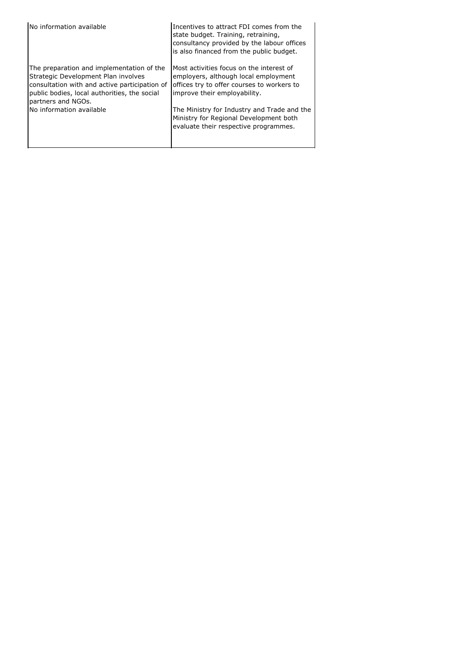| No information available                                                                                                                                                                                | Incentives to attract FDI comes from the<br>state budget. Training, retraining,<br>consultancy provided by the labour offices<br>is also financed from the public budget. |
|---------------------------------------------------------------------------------------------------------------------------------------------------------------------------------------------------------|---------------------------------------------------------------------------------------------------------------------------------------------------------------------------|
| The preparation and implementation of the<br>Strategic Development Plan involves<br>consultation with and active participation of<br>public bodies, local authorities, the social<br>partners and NGOs. | Most activities focus on the interest of<br>employers, although local employment<br>offices try to offer courses to workers to<br>improve their employability.            |
| No information available                                                                                                                                                                                | The Ministry for Industry and Trade and the<br>Ministry for Regional Development both<br>evaluate their respective programmes.                                            |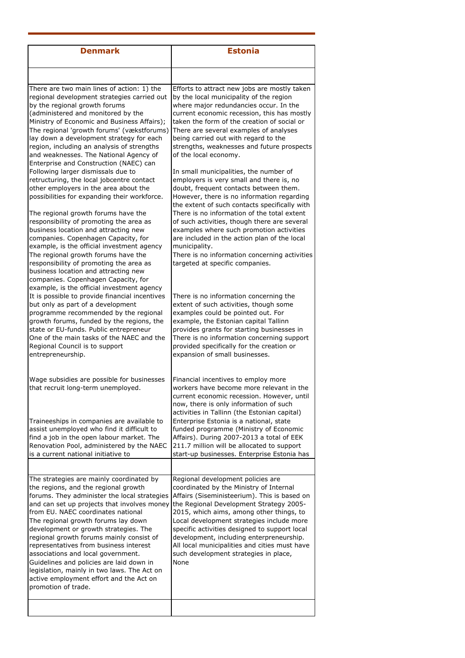| <b>Estonia</b>                                                                                                                                                                                                                                                                                                                                                                                                                                                                                                                                                                                                          |
|-------------------------------------------------------------------------------------------------------------------------------------------------------------------------------------------------------------------------------------------------------------------------------------------------------------------------------------------------------------------------------------------------------------------------------------------------------------------------------------------------------------------------------------------------------------------------------------------------------------------------|
|                                                                                                                                                                                                                                                                                                                                                                                                                                                                                                                                                                                                                         |
| Efforts to attract new jobs are mostly taken<br>by the local municipality of the region<br>where major redundancies occur. In the<br>current economic recession, this has mostly<br>taken the form of the creation of social or<br>There are several examples of analyses<br>being carried out with regard to the<br>strengths, weaknesses and future prospects<br>of the local economy.<br>In small municipalities, the number of<br>employers is very small and there is, no<br>doubt, frequent contacts between them.<br>However, there is no information regarding<br>the extent of such contacts specifically with |
| There is no information of the total extent<br>of such activities, though there are several<br>examples where such promotion activities<br>are included in the action plan of the local<br>municipality.<br>There is no information concerning activities<br>targeted at specific companies.                                                                                                                                                                                                                                                                                                                            |
| There is no information concerning the<br>extent of such activities, though some<br>examples could be pointed out. For<br>example, the Estonian capital Tallinn<br>provides grants for starting businesses in<br>There is no information concerning support<br>provided specifically for the creation or<br>expansion of small businesses.                                                                                                                                                                                                                                                                              |
| Financial incentives to employ more<br>workers have become more relevant in the<br>current economic recession. However, until<br>now, there is only information of such<br>activities in Tallinn (the Estonian capital)<br>Enterprise Estonia is a national, state<br>funded programme (Ministry of Economic                                                                                                                                                                                                                                                                                                            |
| Affairs). During 2007-2013 a total of EEK<br>211.7 million will be allocated to support<br>start-up businesses. Enterprise Estonia has                                                                                                                                                                                                                                                                                                                                                                                                                                                                                  |
| Regional development policies are<br>coordinated by the Ministry of Internal<br>Affairs (Siseministeerium). This is based on<br>the Regional Development Strategy 2005-<br>2015, which aims, among other things, to<br>Local development strategies include more<br>specific activities designed to support local<br>development, including enterpreneurship.<br>All local municipalities and cities must have<br>such development strategies in place,<br>None                                                                                                                                                         |
|                                                                                                                                                                                                                                                                                                                                                                                                                                                                                                                                                                                                                         |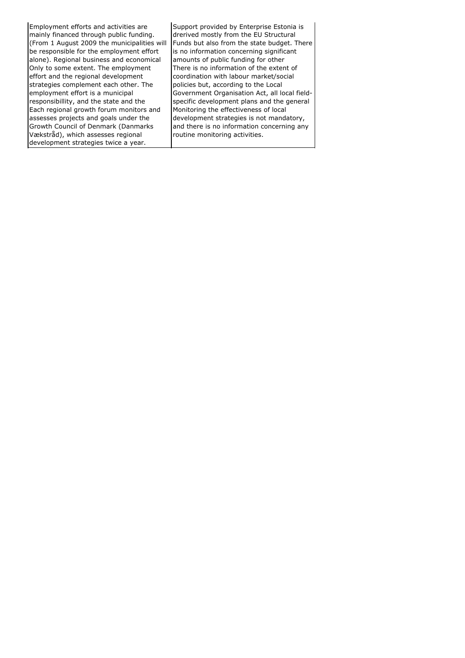Employment efforts and activities are mainly financed through public funding. (From 1 August 2009 the municipalities will be responsible for the employment effort alone). Regional business and economical Support provided by Enterprise Estonia is drerived mostly from the EU Structural Funds but also from the state budget. There is no information concerning significant amounts of public funding for other Only to some extent. The employment effort and the regional development strategies complement each other. The employment effort is a municipal responsibillity, and the state and the There is no information of the extent of coordination with labour market/social policies but, according to the Local Government Organisation Act, all local fieldspecific development plans and the general Each regional growth forum monitors and assesses projects and goals under the Growth Council of Denmark (Danmarks Vækstråd), which assesses regional development strategies twice a year. Monitoring the effectiveness of local development strategies is not mandatory, and there is no information concerning any routine monitoring activities.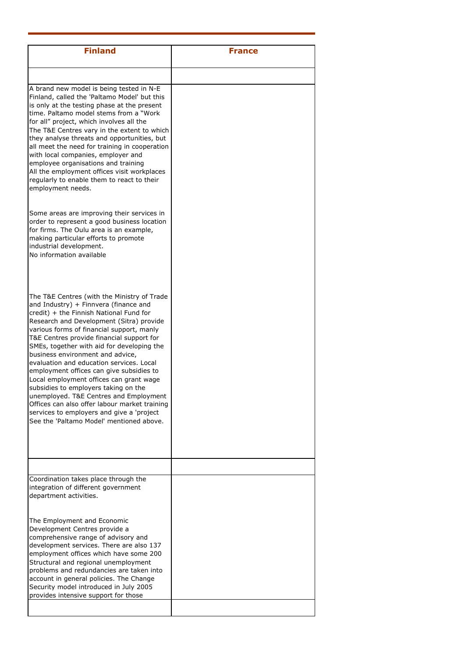| <b>Finland</b>                                                                                                                                                                                                                                                                                                                                                                                                                                                                                                                                                                                                                                                                                                         | <b>France</b> |
|------------------------------------------------------------------------------------------------------------------------------------------------------------------------------------------------------------------------------------------------------------------------------------------------------------------------------------------------------------------------------------------------------------------------------------------------------------------------------------------------------------------------------------------------------------------------------------------------------------------------------------------------------------------------------------------------------------------------|---------------|
|                                                                                                                                                                                                                                                                                                                                                                                                                                                                                                                                                                                                                                                                                                                        |               |
| A brand new model is being tested in N-E<br>Finland, called the 'Paltamo Model' but this<br>is only at the testing phase at the present<br>time. Paltamo model stems from a "Work<br>for all" project, which involves all the<br>The T&E Centres vary in the extent to which<br>they analyse threats and opportunities, but<br>all meet the need for training in cooperation<br>with local companies, employer and<br>employee organisations and training<br>All the employment offices visit workplaces<br>regularly to enable them to react to their<br>employment needs.                                                                                                                                            |               |
| Some areas are improving their services in<br>order to represent a good business location<br>for firms. The Oulu area is an example,<br>making particular efforts to promote<br>industrial development.<br>No information available                                                                                                                                                                                                                                                                                                                                                                                                                                                                                    |               |
| The T&E Centres (with the Ministry of Trade<br>and Industry) + Finnvera (finance and<br>credit) + the Finnish National Fund for<br>Research and Development (Sitra) provide<br>various forms of financial support, manly<br>T&E Centres provide financial support for<br>SMEs, together with aid for developing the<br>business environment and advice,<br>evaluation and education services. Local<br>employment offices can give subsidies to<br>Local employment offices can grant wage<br>subsidies to employers taking on the<br>unemployed. T&E Centres and Employment<br>Offices can also offer labour market training<br>services to employers and give a 'project<br>See the 'Paltamo Model' mentioned above. |               |
|                                                                                                                                                                                                                                                                                                                                                                                                                                                                                                                                                                                                                                                                                                                        |               |
| Coordination takes place through the<br>integration of different government<br>department activities.<br>The Employment and Economic                                                                                                                                                                                                                                                                                                                                                                                                                                                                                                                                                                                   |               |
| Development Centres provide a<br>comprehensive range of advisory and<br>development services. There are also 137<br>employment offices which have some 200<br>Structural and regional unemployment<br>problems and redundancies are taken into<br>account in general policies. The Change<br>Security model introduced in July 2005<br>provides intensive support for those                                                                                                                                                                                                                                                                                                                                            |               |
|                                                                                                                                                                                                                                                                                                                                                                                                                                                                                                                                                                                                                                                                                                                        |               |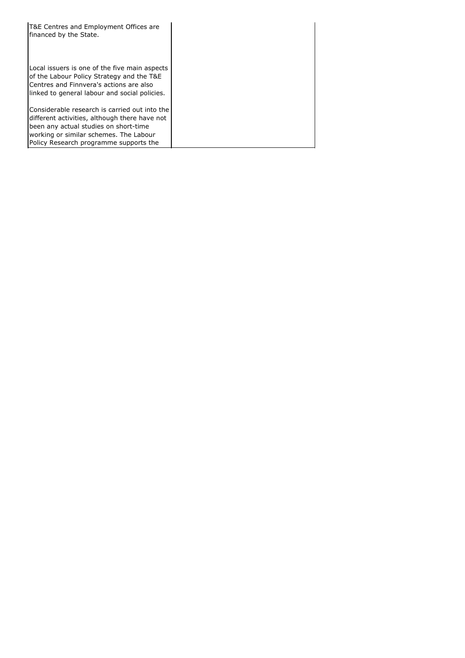| T&E Centres and Employment Offices are<br>financed by the State.                                                                                                                                                            |  |
|-----------------------------------------------------------------------------------------------------------------------------------------------------------------------------------------------------------------------------|--|
| Local issuers is one of the five main aspects<br>of the Labour Policy Strategy and the T&E<br>Centres and Finnvera's actions are also<br>linked to general labour and social policies.                                      |  |
| Considerable research is carried out into the<br>different activities, although there have not<br>been any actual studies on short-time<br>working or similar schemes. The Labour<br>Policy Research programme supports the |  |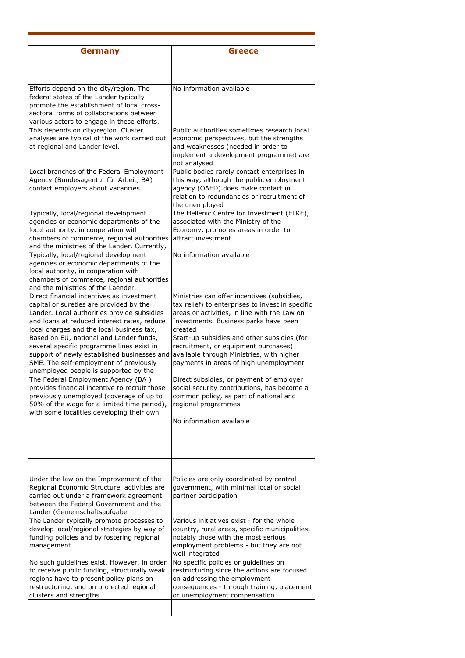| <b>Germany</b>                                                                                                                                                                                                                                                                                                                                                                                                   | <b>Greece</b>                                                                                                                                                                                                                                                                                                                                                                     |
|------------------------------------------------------------------------------------------------------------------------------------------------------------------------------------------------------------------------------------------------------------------------------------------------------------------------------------------------------------------------------------------------------------------|-----------------------------------------------------------------------------------------------------------------------------------------------------------------------------------------------------------------------------------------------------------------------------------------------------------------------------------------------------------------------------------|
|                                                                                                                                                                                                                                                                                                                                                                                                                  |                                                                                                                                                                                                                                                                                                                                                                                   |
| Efforts depend on the city/region. The<br>federal states of the Lander typically<br>promote the establishment of local cross-<br>sectoral forms of collaborations between<br>various actors to engage in these efforts.                                                                                                                                                                                          | No information available                                                                                                                                                                                                                                                                                                                                                          |
| This depends on city/region. Cluster<br>analyses are typical of the work carried out<br>at regional and Lander level.                                                                                                                                                                                                                                                                                            | Public authorities sometimes research local<br>economic perspectives, but the strengths<br>and weaknesses (needed in order to<br>implement a development programme) are<br>not analysed                                                                                                                                                                                           |
| Local branches of the Federal Employment<br>Agency (Bundesagentur für Arbeit, BA)<br>contact employers about vacancies.                                                                                                                                                                                                                                                                                          | Public bodies rarely contact enterprises in<br>this way, although the public employment<br>agency (OAED) does make contact in<br>relation to redundancies or recruitment of<br>the unemployed                                                                                                                                                                                     |
| Typically, local/regional development<br>agencies or economic departments of the<br>local authority, in cooperation with<br>chambers of commerce, regional authorities<br>and the ministries of the Lander. Currently,                                                                                                                                                                                           | The Hellenic Centre for Investment (ELKE),<br>associated with the Ministry of the<br>Economy, promotes areas in order to<br>attract investment                                                                                                                                                                                                                                    |
| Typically, local/regional development<br>agencies or economic departments of the<br>local authority, in cooperation with<br>chambers of commerce, regional authorities<br>and the ministries of the Laender.                                                                                                                                                                                                     | No information available                                                                                                                                                                                                                                                                                                                                                          |
| Direct financial incentives as investment<br>capital or sureties are provided by the<br>Lander. Local authorities provide subsidies<br>and loans at reduced interest rates, reduce<br>local charges and the local business tax,<br>Based on EU, national and Lander funds,<br>several specific programme lines exist in<br>support of newly established businesses and<br>SME. The self-employment of previously | Ministries can offer incentives (subsidies,<br>tax relief) to enterprises to invest in specific<br>areas or activities, in line with the Law on<br>Investments. Business parks have been<br>created<br>Start-up subsidies and other subsidies (for<br>recruitment, or equipment purchases)<br>available through Ministries, with higher<br>payments in areas of high unemployment |
| unemployed people is supported by the<br>The Federal Employment Agency (BA)<br>provides financial incentive to recruit those<br>previously unemployed (coverage of up to<br>50% of the wage for a limited time period),<br>with some localities developing their own                                                                                                                                             | Direct subsidies, or payment of employer<br>social security contributions, has become a<br>common policy, as part of national and<br>regional programmes                                                                                                                                                                                                                          |
|                                                                                                                                                                                                                                                                                                                                                                                                                  | No information available                                                                                                                                                                                                                                                                                                                                                          |
|                                                                                                                                                                                                                                                                                                                                                                                                                  |                                                                                                                                                                                                                                                                                                                                                                                   |
| Under the law on the Improvement of the<br>Regional Economic Structure, activities are<br>carried out under a framework agreement<br>between the Federal Government and the<br>Länder (Gemeinschaftsaufgabe                                                                                                                                                                                                      | Policies are only coordinated by central<br>government, with minimal local or social<br>partner participation                                                                                                                                                                                                                                                                     |
| The Lander typically promote processes to<br>develop local/regional strategies by way of<br>funding policies and by fostering regional<br>management.                                                                                                                                                                                                                                                            | Various initiatives exist - for the whole<br>country, rural areas, specific municipalities,<br>notably those with the most serious<br>employment problems - but they are not<br>well integrated                                                                                                                                                                                   |
| No such guidelines exist. However, in order<br>to receive public funding, structurally weak<br>regions have to present policy plans on<br>restructuring, and on projected regional<br>clusters and strengths.                                                                                                                                                                                                    | No specific policies or guidelines on<br>restructuring since the actions are focused<br>on addressing the employment<br>consequences - through training, placement<br>or unemployment compensation                                                                                                                                                                                |
|                                                                                                                                                                                                                                                                                                                                                                                                                  |                                                                                                                                                                                                                                                                                                                                                                                   |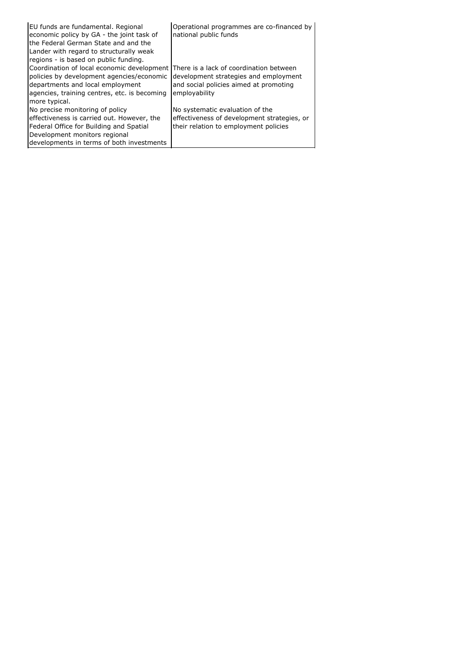| EU funds are fundamental. Regional<br>economic policy by GA - the joint task of<br>the Federal German State and and the<br>Lander with regard to structurally weak<br>regions - is based on public funding.                          | Operational programmes are co-financed by<br>national public funds                                                      |
|--------------------------------------------------------------------------------------------------------------------------------------------------------------------------------------------------------------------------------------|-------------------------------------------------------------------------------------------------------------------------|
| Coordination of local economic development There is a lack of coordination between<br>policies by development agencies/economic<br>departments and local employment<br>agencies, training centres, etc. is becoming<br>more typical. | development strategies and employment<br>and social policies aimed at promoting<br>employability                        |
| No precise monitoring of policy<br>effectiveness is carried out. However, the<br>Federal Office for Building and Spatial<br>Development monitors regional<br>developments in terms of both investments                               | No systematic evaluation of the<br>effectiveness of development strategies, or<br>their relation to employment policies |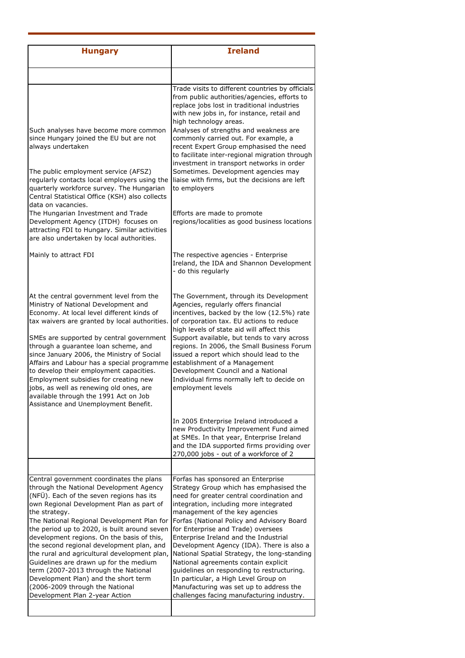| <b>Hungary</b>                                                                                                                                                                                                                                                                                                                                                                                                                                                                                                                                                                                                                       | <b>Ireland</b>                                                                                                                                                                                                                                                                                                                                                                                                                                                                                                                                                                                                                                         |
|--------------------------------------------------------------------------------------------------------------------------------------------------------------------------------------------------------------------------------------------------------------------------------------------------------------------------------------------------------------------------------------------------------------------------------------------------------------------------------------------------------------------------------------------------------------------------------------------------------------------------------------|--------------------------------------------------------------------------------------------------------------------------------------------------------------------------------------------------------------------------------------------------------------------------------------------------------------------------------------------------------------------------------------------------------------------------------------------------------------------------------------------------------------------------------------------------------------------------------------------------------------------------------------------------------|
|                                                                                                                                                                                                                                                                                                                                                                                                                                                                                                                                                                                                                                      |                                                                                                                                                                                                                                                                                                                                                                                                                                                                                                                                                                                                                                                        |
| Such analyses have become more common<br>since Hungary joined the EU but are not<br>always undertaken<br>The public employment service (AFSZ)<br>regularly contacts local employers using the<br>quarterly workforce survey. The Hungarian<br>Central Statistical Office (KSH) also collects                                                                                                                                                                                                                                                                                                                                         | Trade visits to different countries by officials<br>from public authorities/agencies, efforts to<br>replace jobs lost in traditional industries<br>with new jobs in, for instance, retail and<br>high technology areas.<br>Analyses of strengths and weakness are<br>commonly carried out. For example, a<br>recent Expert Group emphasised the need<br>to facilitate inter-regional migration through<br>investment in transport networks in order<br>Sometimes. Development agencies may<br>liaise with firms, but the decisions are left<br>to employers                                                                                            |
| data on vacancies.<br>The Hungarian Investment and Trade<br>Development Agency (ITDH) focuses on<br>attracting FDI to Hungary. Similar activities<br>are also undertaken by local authorities.                                                                                                                                                                                                                                                                                                                                                                                                                                       | Efforts are made to promote<br>regions/localities as good business locations                                                                                                                                                                                                                                                                                                                                                                                                                                                                                                                                                                           |
| Mainly to attract FDI                                                                                                                                                                                                                                                                                                                                                                                                                                                                                                                                                                                                                | The respective agencies - Enterprise<br>Ireland, the IDA and Shannon Development<br>- do this regularly                                                                                                                                                                                                                                                                                                                                                                                                                                                                                                                                                |
| At the central government level from the<br>Ministry of National Development and<br>Economy. At local level different kinds of<br>tax waivers are granted by local authorities.<br>SMEs are supported by central government<br>through a guarantee loan scheme, and<br>since January 2006, the Ministry of Social<br>Affairs and Labour has a special programme<br>to develop their employment capacities.<br>Employment subsidies for creating new<br>jobs, as well as renewing old ones, are<br>available through the 1991 Act on Job<br>Assistance and Unemployment Benefit.                                                      | The Government, through its Development<br>Agencies, regularly offers financial<br>incentives, backed by the low (12.5%) rate<br>of corporation tax. EU actions to reduce<br>high levels of state aid will affect this<br>Support available, but tends to vary across<br>regions. In 2006, the Small Business Forum<br>issued a report which should lead to the<br>establishment of a Management<br>Development Council and a National<br>Individual firms normally left to decide on<br>employment levels                                                                                                                                             |
|                                                                                                                                                                                                                                                                                                                                                                                                                                                                                                                                                                                                                                      | In 2005 Enterprise Ireland introduced a<br>new Productivity Improvement Fund aimed<br>at SMEs. In that year, Enterprise Ireland<br>and the IDA supported firms providing over<br>270,000 jobs - out of a workforce of 2                                                                                                                                                                                                                                                                                                                                                                                                                                |
|                                                                                                                                                                                                                                                                                                                                                                                                                                                                                                                                                                                                                                      |                                                                                                                                                                                                                                                                                                                                                                                                                                                                                                                                                                                                                                                        |
| Central government coordinates the plans<br>through the National Development Agency<br>(NFÜ). Each of the seven regions has its<br>own Regional Development Plan as part of<br>the strategy.<br>The National Regional Development Plan for<br>the period up to 2020, is built around seven<br>development regions. On the basis of this,<br>the second regional development plan, and<br>the rural and agricultural development plan,<br>Guidelines are drawn up for the medium<br>term (2007-2013 through the National<br>Development Plan) and the short term<br>(2006-2009 through the National<br>Development Plan 2-year Action | Forfas has sponsored an Enterprise<br>Strategy Group which has emphasised the<br>need for greater central coordination and<br>integration, including more integrated<br>management of the key agencies<br>Forfas (National Policy and Advisory Board<br>for Enterprise and Trade) oversees<br>Enterprise Ireland and the Industrial<br>Development Agency (IDA). There is also a<br>National Spatial Strategy, the long-standing<br>National agreements contain explicit<br>guidelines on responding to restructuring.<br>In particular, a High Level Group on<br>Manufacturing was set up to address the<br>challenges facing manufacturing industry. |
|                                                                                                                                                                                                                                                                                                                                                                                                                                                                                                                                                                                                                                      |                                                                                                                                                                                                                                                                                                                                                                                                                                                                                                                                                                                                                                                        |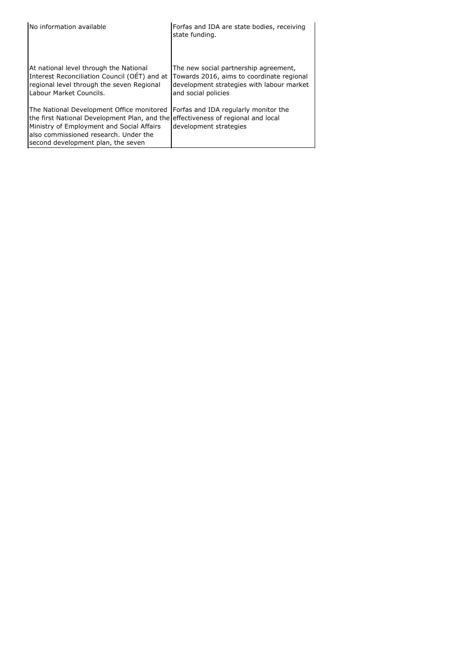| No information available                                                                                                                                                                                                                                  | Forfas and IDA are state bodies, receiving<br>state funding.                                                                                           |
|-----------------------------------------------------------------------------------------------------------------------------------------------------------------------------------------------------------------------------------------------------------|--------------------------------------------------------------------------------------------------------------------------------------------------------|
| At national level through the National<br>Interest Reconciliation Council (OET) and at<br>regional level through the seven Regional<br>Labour Market Councils.                                                                                            | The new social partnership agreement,<br>Towards 2016, aims to coordinate regional<br>development strategies with labour market<br>and social policies |
| The National Development Office monitored<br>the first National Development Plan, and the effectiveness of regional and local<br>Ministry of Employment and Social Affairs<br>also commissioned research. Under the<br>second development plan, the seven | Forfas and IDA regularly monitor the<br>development strategies                                                                                         |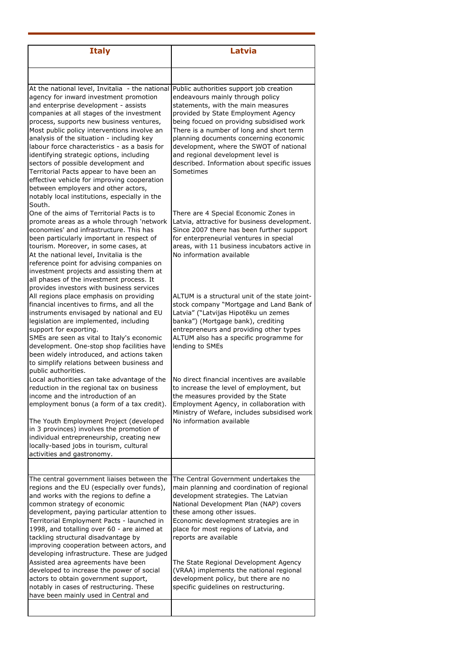| <b>Italy</b>                                                                                                                                                                                                                                                                                                                                                                                                                                                                                                                                                                                                                                            | Latvia                                                                                                                                                                                                                                                                                                                                                                                                                                  |
|---------------------------------------------------------------------------------------------------------------------------------------------------------------------------------------------------------------------------------------------------------------------------------------------------------------------------------------------------------------------------------------------------------------------------------------------------------------------------------------------------------------------------------------------------------------------------------------------------------------------------------------------------------|-----------------------------------------------------------------------------------------------------------------------------------------------------------------------------------------------------------------------------------------------------------------------------------------------------------------------------------------------------------------------------------------------------------------------------------------|
|                                                                                                                                                                                                                                                                                                                                                                                                                                                                                                                                                                                                                                                         |                                                                                                                                                                                                                                                                                                                                                                                                                                         |
| At the national level, Invitalia - the national<br>agency for inward investment promotion<br>and enterprise development - assists<br>companies at all stages of the investment<br>process, supports new business ventures,<br>Most public policy interventions involve an<br>analysis of the situation - including key<br>labour force characteristics - as a basis for<br>identifying strategic options, including<br>sectors of possible development and<br>Territorial Pacts appear to have been an<br>effective vehicle for improving cooperation<br>between employers and other actors,<br>notably local institutions, especially in the<br>South. | Public authorities support job creation<br>endeavours mainly through policy<br>statements, with the main measures<br>provided by State Employment Agency<br>being focued on providng subsidised work<br>There is a number of long and short term<br>planning documents concerning economic<br>development, where the SWOT of national<br>and regional development level is<br>described. Information about specific issues<br>Sometimes |
| One of the aims of Territorial Pacts is to<br>promote areas as a whole through 'network<br>economies' and infrastructure. This has<br>been particularly important in respect of<br>tourism. Moreover, in some cases, at<br>At the national level, Invitalia is the<br>reference point for advising companies on<br>investment projects and assisting them at<br>all phases of the investment process. It                                                                                                                                                                                                                                                | There are 4 Special Economic Zones in<br>Latvia, attractive for business development.<br>Since 2007 there has been further support<br>for enterpreneurial ventures in special<br>areas, with 11 business incubators active in<br>No information available                                                                                                                                                                               |
| provides investors with business services<br>All regions place emphasis on providing<br>financial incentives to firms, and all the<br>instruments envisaged by national and EU<br>legislation are implemented, including<br>support for exporting.<br>SMEs are seen as vital to Italy's economic<br>development. One-stop shop facilities have<br>been widely introduced, and actions taken<br>to simplify relations between business and<br>public authorities.                                                                                                                                                                                        | ALTUM is a structural unit of the state joint-<br>stock company "Mortgage and Land Bank of<br>Latvia" ("Latvijas Hipotēku un zemes<br>banka") (Mortgage bank), crediting<br>entrepreneurs and providing other types<br>ALTUM also has a specific programme for<br>lending to SMEs                                                                                                                                                       |
| Local authorities can take advantage of the<br>reduction in the regional tax on business<br>income and the introduction of an<br>employment bonus (a form of a tax credit).<br>The Youth Employment Project (developed<br>in 3 provinces) involves the promotion of<br>individual entrepreneurship, creating new<br>locally-based jobs in tourism, cultural<br>activities and gastronomy.                                                                                                                                                                                                                                                               | No direct financial incentives are available<br>to increase the level of employment, but<br>the measures provided by the State<br>Employment Agency, in collaboration with<br>Ministry of Wefare, includes subsidised work<br>No information available                                                                                                                                                                                  |
|                                                                                                                                                                                                                                                                                                                                                                                                                                                                                                                                                                                                                                                         |                                                                                                                                                                                                                                                                                                                                                                                                                                         |
| The central government liaises between the<br>regions and the EU (especially over funds),<br>and works with the regions to define a<br>common strategy of economic<br>development, paying particular attention to<br>Territorial Employment Pacts - launched in<br>1998, and totalling over 60 - are aimed at<br>tackling structural disadvantage by<br>improving cooperation between actors, and<br>developing infrastructure. These are judged                                                                                                                                                                                                        | The Central Government undertakes the<br>main planning and coordination of regional<br>development strategies. The Latvian<br>National Development Plan (NAP) covers<br>these among other issues.<br>Economic development strategies are in<br>place for most regions of Latvia, and<br>reports are available                                                                                                                           |
| Assisted area agreements have been<br>developed to increase the power of social<br>actors to obtain government support,<br>notably in cases of restructuring. These<br>have been mainly used in Central and                                                                                                                                                                                                                                                                                                                                                                                                                                             | The State Regional Development Agency<br>(VRAA) implements the national regional<br>development policy, but there are no<br>specific guidelines on restructuring.                                                                                                                                                                                                                                                                       |
|                                                                                                                                                                                                                                                                                                                                                                                                                                                                                                                                                                                                                                                         |                                                                                                                                                                                                                                                                                                                                                                                                                                         |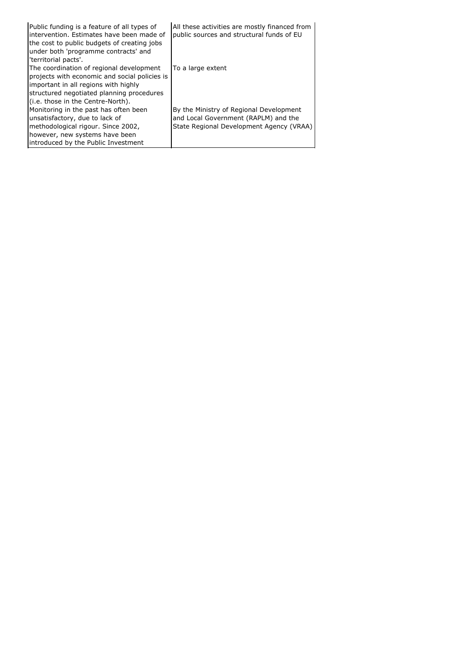| Public funding is a feature of all types of<br>intervention. Estimates have been made of<br>the cost to public budgets of creating jobs<br>under both 'programme contracts' and<br>'territorial pacts'.             | All these activities are mostly financed from<br>public sources and structural funds of EU                                  |
|---------------------------------------------------------------------------------------------------------------------------------------------------------------------------------------------------------------------|-----------------------------------------------------------------------------------------------------------------------------|
| The coordination of regional development<br>projects with economic and social policies is<br>important in all regions with highly<br>structured negotiated planning procedures<br>(i.e. those in the Centre-North). | To a large extent                                                                                                           |
| Monitoring in the past has often been<br>unsatisfactory, due to lack of<br>methodological rigour. Since 2002,<br>however, new systems have been<br>introduced by the Public Investment                              | By the Ministry of Regional Development<br>and Local Government (RAPLM) and the<br>State Regional Development Agency (VRAA) |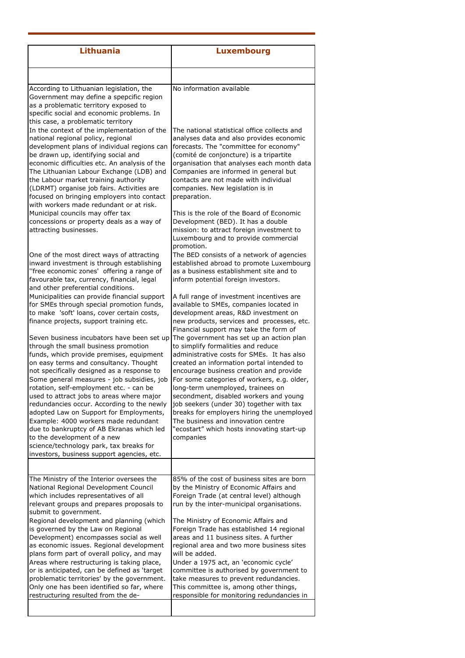| <b>Lithuania</b>                                                                                                                                                                                                                                                                                                                                                                                                                                                                                                                           | <b>Luxembourg</b>                                                                                                                                                                                                                                                                                                                                                                                                                                                                                                                |
|--------------------------------------------------------------------------------------------------------------------------------------------------------------------------------------------------------------------------------------------------------------------------------------------------------------------------------------------------------------------------------------------------------------------------------------------------------------------------------------------------------------------------------------------|----------------------------------------------------------------------------------------------------------------------------------------------------------------------------------------------------------------------------------------------------------------------------------------------------------------------------------------------------------------------------------------------------------------------------------------------------------------------------------------------------------------------------------|
|                                                                                                                                                                                                                                                                                                                                                                                                                                                                                                                                            |                                                                                                                                                                                                                                                                                                                                                                                                                                                                                                                                  |
| According to Lithuanian legislation, the<br>Government may define a spepcific region<br>as a problematic territory exposed to<br>specific social and economic problems. In<br>this case, a problematic territory                                                                                                                                                                                                                                                                                                                           | No information available                                                                                                                                                                                                                                                                                                                                                                                                                                                                                                         |
| In the context of the implementation of the<br>national regional policy, regional<br>development plans of individual regions can<br>be drawn up, identifying social and<br>economic difficulties etc. An analysis of the<br>The Lithuanian Labour Exchange (LDB) and<br>the Labour market training authority<br>(LDRMT) organise job fairs. Activities are<br>focused on bringing employers into contact<br>with workers made redundant or at risk.                                                                                        | The national statistical office collects and<br>analyses data and also provides economic<br>forecasts. The "committee for economy"<br>(comité de conjoncture) is a tripartite<br>organisation that analyses each month data<br>Companies are informed in general but<br>contacts are not made with individual<br>companies. New legislation is in<br>preparation.                                                                                                                                                                |
| Municipal councils may offer tax<br>concessions or property deals as a way of<br>attracting businesses.                                                                                                                                                                                                                                                                                                                                                                                                                                    | This is the role of the Board of Economic<br>Development (BED). It has a double<br>mission: to attract foreign investment to<br>Luxembourg and to provide commercial<br>promotion.                                                                                                                                                                                                                                                                                                                                               |
| One of the most direct ways of attracting<br>inward investment is through establishing<br>"free economic zones' offering a range of<br>favourable tax, currency, financial, legal<br>and other preferential conditions.                                                                                                                                                                                                                                                                                                                    | The BED consists of a network of agencies<br>established abroad to promote Luxembourg<br>as a business establishment site and to<br>inform potential foreign investors.                                                                                                                                                                                                                                                                                                                                                          |
| Municipalities can provide financial support<br>for SMEs through special promotion funds,<br>to make 'soft' loans, cover certain costs,<br>finance projects, support training etc.                                                                                                                                                                                                                                                                                                                                                         | A full range of investment incentives are<br>available to SMEs, companies located in<br>development areas, R&D investment on<br>new products, services and processes, etc.<br>Financial support may take the form of                                                                                                                                                                                                                                                                                                             |
| Seven business incubators have been set up<br>through the small business promotion<br>funds, which provide premises, equipment<br>on easy terms and consultancy. Thought<br>not specifically designed as a response to<br>Some general measures - job subsidies, job<br>rotation, self-employment etc. - can be<br>used to attract jobs to areas where major<br>redundancies occur. According to the newly<br>adopted Law on Support for Employments,<br>Example: 4000 workers made redundant<br>due to bankruptcy of AB Ekranas which led | The government has set up an action plan<br>to simplify formalities and reduce<br>administrative costs for SMEs. It has also<br>created an information portal intended to<br>encourage business creation and provide<br>For some categories of workers, e.g. older,<br>long-term unemployed, trainees on<br>secondment, disabled workers and young<br>job seekers (under 30) together with tax<br>breaks for employers hiring the unemployed<br>The business and innovation centre<br>"ecostart" which hosts innovating start-up |
| to the development of a new<br>science/technology park, tax breaks for<br>investors, business support agencies, etc.                                                                                                                                                                                                                                                                                                                                                                                                                       | companies                                                                                                                                                                                                                                                                                                                                                                                                                                                                                                                        |
|                                                                                                                                                                                                                                                                                                                                                                                                                                                                                                                                            |                                                                                                                                                                                                                                                                                                                                                                                                                                                                                                                                  |
| The Ministry of the Interior oversees the<br>National Regional Development Council<br>which includes representatives of all<br>relevant groups and prepares proposals to<br>submit to government.                                                                                                                                                                                                                                                                                                                                          | 85% of the cost of business sites are born<br>by the Ministry of Economic Affairs and<br>Foreign Trade (at central level) although<br>run by the inter-municipal organisations.                                                                                                                                                                                                                                                                                                                                                  |
| Regional development and planning (which<br>is governed by the Law on Regional<br>Development) encompasses social as well<br>as economic issues. Regional development<br>plans form part of overall policy, and may<br>Areas where restructuring is taking place,                                                                                                                                                                                                                                                                          | The Ministry of Economic Affairs and<br>Foreign Trade has established 14 regional<br>areas and 11 business sites. A further<br>regional area and two more business sites<br>will be added.<br>Under a 1975 act, an 'economic cycle'                                                                                                                                                                                                                                                                                              |
| or is anticipated, can be defined as 'target<br>problematic territories' by the government.<br>Only one has been identified so far, where<br>restructuring resulted from the de-                                                                                                                                                                                                                                                                                                                                                           | committee is authorised by government to<br>take measures to prevent redundancies.<br>This committee is, among other things,<br>responsible for monitoring redundancies in                                                                                                                                                                                                                                                                                                                                                       |
|                                                                                                                                                                                                                                                                                                                                                                                                                                                                                                                                            |                                                                                                                                                                                                                                                                                                                                                                                                                                                                                                                                  |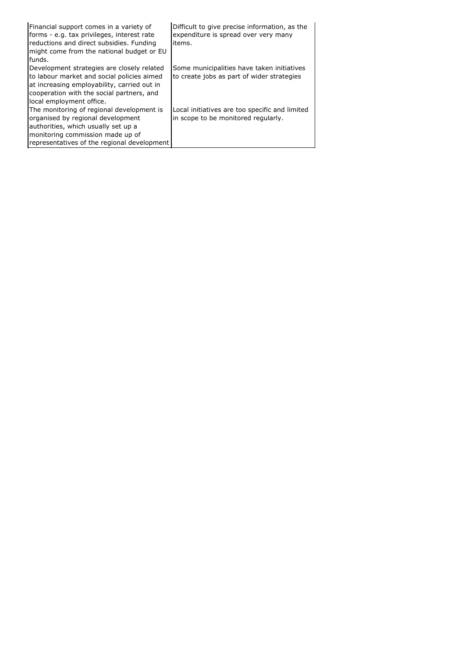| Financial support comes in a variety of<br>forms - e.g. tax privileges, interest rate<br>reductions and direct subsidies. Funding<br>might come from the national budget or EU<br>funds.                         | Difficult to give precise information, as the<br>expenditure is spread over very many<br>items. |
|------------------------------------------------------------------------------------------------------------------------------------------------------------------------------------------------------------------|-------------------------------------------------------------------------------------------------|
| Development strategies are closely related<br>to labour market and social policies aimed<br>at increasing employability, carried out in<br>cooperation with the social partners, and<br>local employment office. | Some municipalities have taken initiatives<br>to create jobs as part of wider strategies        |
| The monitoring of regional development is<br>organised by regional development<br>authorities, which usually set up a<br>monitoring commission made up of<br>representatives of the regional development         | Local initiatives are too specific and limited<br>in scope to be monitored regularly.           |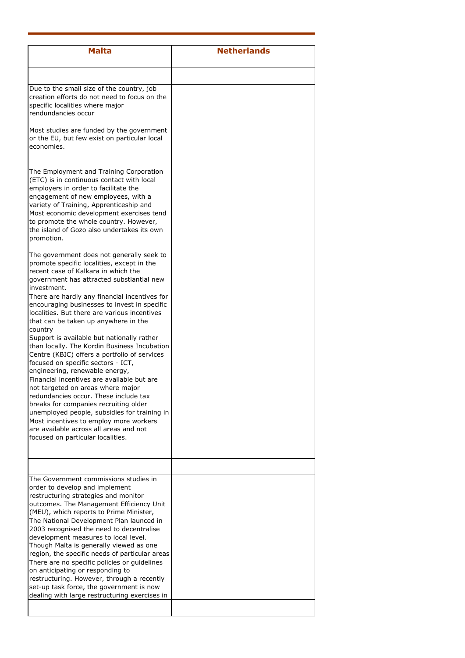| <b>Malta</b>                                                                                                                                                                                                                                                                                                                                                                                                                                                                                                                                                                                                                                                       | <b>Netherlands</b> |
|--------------------------------------------------------------------------------------------------------------------------------------------------------------------------------------------------------------------------------------------------------------------------------------------------------------------------------------------------------------------------------------------------------------------------------------------------------------------------------------------------------------------------------------------------------------------------------------------------------------------------------------------------------------------|--------------------|
|                                                                                                                                                                                                                                                                                                                                                                                                                                                                                                                                                                                                                                                                    |                    |
| Due to the small size of the country, job<br>creation efforts do not need to focus on the<br>specific localities where major<br>rendundancies occur                                                                                                                                                                                                                                                                                                                                                                                                                                                                                                                |                    |
| Most studies are funded by the government<br>or the EU, but few exist on particular local<br>economies.                                                                                                                                                                                                                                                                                                                                                                                                                                                                                                                                                            |                    |
| The Employment and Training Corporation<br>(ETC) is in continuous contact with local<br>employers in order to facilitate the<br>engagement of new employees, with a<br>variety of Training, Apprenticeship and<br>Most economic development exercises tend<br>to promote the whole country. However,<br>the island of Gozo also undertakes its own<br>promotion.                                                                                                                                                                                                                                                                                                   |                    |
| The government does not generally seek to<br>promote specific localities, except in the<br>recent case of Kalkara in which the<br>government has attracted substiantial new<br>investment.                                                                                                                                                                                                                                                                                                                                                                                                                                                                         |                    |
| There are hardly any financial incentives for<br>encouraging businesses to invest in specific<br>localities. But there are various incentives<br>that can be taken up anywhere in the<br>country<br>Support is available but nationally rather<br>than locally. The Kordin Business Incubation<br>Centre (KBIC) offers a portfolio of services                                                                                                                                                                                                                                                                                                                     |                    |
| focused on specific sectors - ICT,<br>engineering, renewable energy,<br>Financial incentives are available but are<br>not targeted on areas where major<br>redundancies occur. These include tax<br>breaks for companies recruiting older<br>unemployed people, subsidies for training in<br>Most incentives to employ more workers<br>are available across all areas and not<br>focused on particular localities.                                                                                                                                                                                                                                                 |                    |
|                                                                                                                                                                                                                                                                                                                                                                                                                                                                                                                                                                                                                                                                    |                    |
| The Government commissions studies in<br>order to develop and implement<br>restructuring strategies and monitor<br>outcomes. The Management Efficiency Unit<br>(MEU), which reports to Prime Minister,<br>The National Development Plan launced in<br>2003 recognised the need to decentralise<br>development measures to local level.<br>Though Malta is generally viewed as one<br>region, the specific needs of particular areas<br>There are no specific policies or guidelines<br>on anticipating or responding to<br>restructuring. However, through a recently<br>set-up task force, the government is now<br>dealing with large restructuring exercises in |                    |
|                                                                                                                                                                                                                                                                                                                                                                                                                                                                                                                                                                                                                                                                    |                    |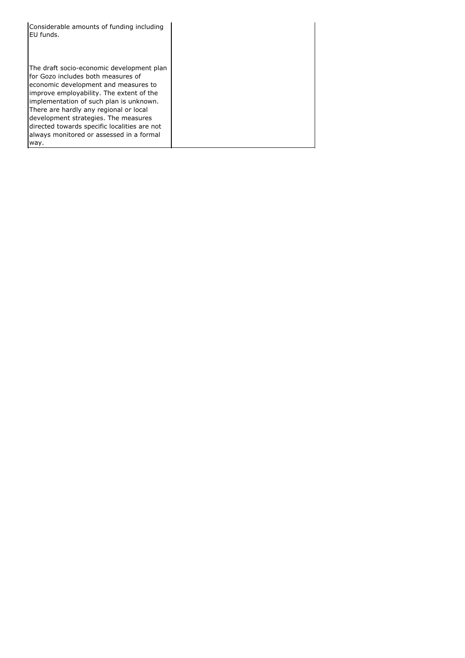| Considerable amounts of funding including<br>EU funds.                                                                                                                                                                                                                                                                                                                                       |  |
|----------------------------------------------------------------------------------------------------------------------------------------------------------------------------------------------------------------------------------------------------------------------------------------------------------------------------------------------------------------------------------------------|--|
| The draft socio-economic development plan<br>for Gozo includes both measures of<br>economic development and measures to<br>improve employability. The extent of the<br>implementation of such plan is unknown.<br>There are hardly any regional or local<br>development strategies. The measures<br>directed towards specific localities are not<br>always monitored or assessed in a formal |  |
| way.                                                                                                                                                                                                                                                                                                                                                                                         |  |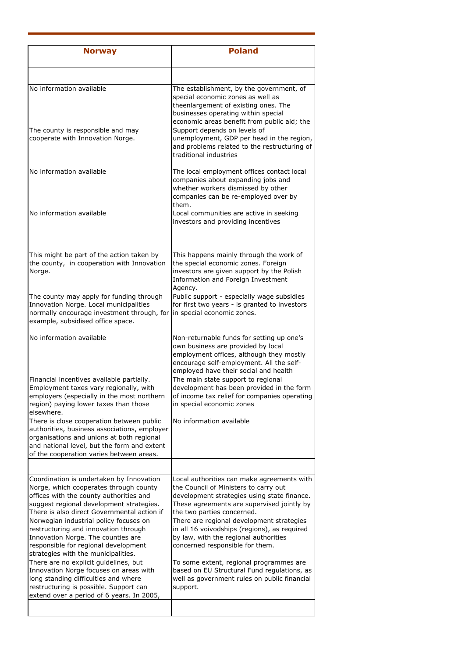| <b>Norway</b>                                                                                                                                                                                                                                                                                                                                                                                                                   | <b>Poland</b>                                                                                                                                                                                                                                                                                                                                                                           |
|---------------------------------------------------------------------------------------------------------------------------------------------------------------------------------------------------------------------------------------------------------------------------------------------------------------------------------------------------------------------------------------------------------------------------------|-----------------------------------------------------------------------------------------------------------------------------------------------------------------------------------------------------------------------------------------------------------------------------------------------------------------------------------------------------------------------------------------|
|                                                                                                                                                                                                                                                                                                                                                                                                                                 |                                                                                                                                                                                                                                                                                                                                                                                         |
| No information available                                                                                                                                                                                                                                                                                                                                                                                                        | The establishment, by the government, of<br>special economic zones as well as<br>theenlargement of existing ones. The<br>businesses operating within special<br>economic areas benefit from public aid; the                                                                                                                                                                             |
| The county is responsible and may<br>cooperate with Innovation Norge.                                                                                                                                                                                                                                                                                                                                                           | Support depends on levels of<br>unemployment, GDP per head in the region,<br>and problems related to the restructuring of<br>traditional industries                                                                                                                                                                                                                                     |
| No information available                                                                                                                                                                                                                                                                                                                                                                                                        | The local employment offices contact local<br>companies about expanding jobs and<br>whether workers dismissed by other<br>companies can be re-employed over by<br>them.                                                                                                                                                                                                                 |
| No information available                                                                                                                                                                                                                                                                                                                                                                                                        | Local communities are active in seeking<br>investors and providing incentives                                                                                                                                                                                                                                                                                                           |
| This might be part of the action taken by<br>the county, in cooperation with Innovation<br>Norge.                                                                                                                                                                                                                                                                                                                               | This happens mainly through the work of<br>the special economic zones. Foreign<br>investors are given support by the Polish<br>Information and Foreign Investment<br>Agency.                                                                                                                                                                                                            |
| The county may apply for funding through<br>Innovation Norge. Local municipalities<br>normally encourage investment through, for<br>example, subsidised office space.                                                                                                                                                                                                                                                           | Public support - especially wage subsidies<br>for first two years - is granted to investors<br>in special economic zones.                                                                                                                                                                                                                                                               |
| No information available                                                                                                                                                                                                                                                                                                                                                                                                        | Non-returnable funds for setting up one's<br>own business are provided by local<br>employment offices, although they mostly<br>encourage self-employment. All the self-<br>employed have their social and health                                                                                                                                                                        |
| Financial incentives available partially.<br>Employment taxes vary regionally, with<br>employers (especially in the most northern<br>region) paying lower taxes than those<br>elsewhere.                                                                                                                                                                                                                                        | The main state support to regional<br>development has been provided in the form<br>of income tax relief for companies operating<br>in special economic zones                                                                                                                                                                                                                            |
| There is close cooperation between public<br>authorities, business associations, employer<br>organisations and unions at both regional<br>and national level, but the form and extent<br>of the cooperation varies between areas.                                                                                                                                                                                               | No information available                                                                                                                                                                                                                                                                                                                                                                |
|                                                                                                                                                                                                                                                                                                                                                                                                                                 |                                                                                                                                                                                                                                                                                                                                                                                         |
| Coordination is undertaken by Innovation<br>Norge, which cooperates through county<br>offices with the county authorities and<br>suggest regional development strategies.<br>There is also direct Governmental action if<br>Norwegian industrial policy focuses on<br>restructuring and innovation through<br>Innovation Norge. The counties are<br>responsible for regional development<br>strategies with the municipalities. | Local authorities can make agreements with<br>the Council of Ministers to carry out<br>development strategies using state finance.<br>These agreements are supervised jointly by<br>the two parties concerned.<br>There are regional development strategies<br>in all 16 voivodships (regions), as required<br>by law, with the regional authorities<br>concerned responsible for them. |
| There are no explicit guidelines, but<br>Innovation Norge focuses on areas with<br>long standing difficulties and where<br>restructuring is possible. Support can<br>extend over a period of 6 years. In 2005,                                                                                                                                                                                                                  | To some extent, regional programmes are<br>based on EU Structural Fund regulations, as<br>well as government rules on public financial<br>support.                                                                                                                                                                                                                                      |
|                                                                                                                                                                                                                                                                                                                                                                                                                                 |                                                                                                                                                                                                                                                                                                                                                                                         |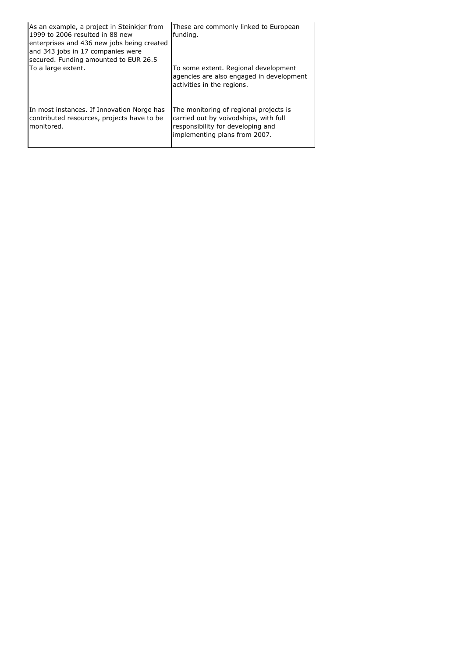| As an example, a project in Steinkjer from<br>1999 to 2006 resulted in 88 new<br>enterprises and 436 new jobs being created<br>and 343 jobs in 17 companies were<br>secured. Funding amounted to EUR 26.5 | These are commonly linked to European<br>funding.                                                                                                     |
|-----------------------------------------------------------------------------------------------------------------------------------------------------------------------------------------------------------|-------------------------------------------------------------------------------------------------------------------------------------------------------|
| To a large extent.                                                                                                                                                                                        | To some extent. Regional development<br>agencies are also engaged in development<br>activities in the regions.                                        |
| In most instances. If Innovation Norge has<br>contributed resources, projects have to be<br>monitored.                                                                                                    | The monitoring of regional projects is<br>carried out by voivodships, with full<br>responsibility for developing and<br>implementing plans from 2007. |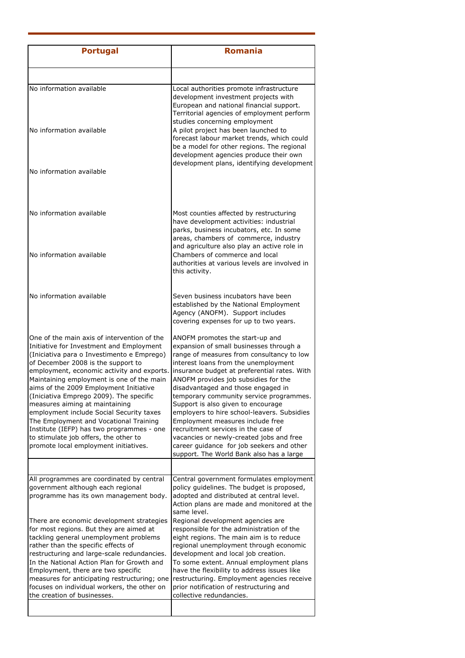| <b>Portugal</b>                                                                                                                                                                                                                                                                                                                                                                                                                                                                                                                                                                                                    | <b>Romania</b>                                                                                                                                                                                                                                                                                                                                                                                                                                                                                                                                                                                                                                |
|--------------------------------------------------------------------------------------------------------------------------------------------------------------------------------------------------------------------------------------------------------------------------------------------------------------------------------------------------------------------------------------------------------------------------------------------------------------------------------------------------------------------------------------------------------------------------------------------------------------------|-----------------------------------------------------------------------------------------------------------------------------------------------------------------------------------------------------------------------------------------------------------------------------------------------------------------------------------------------------------------------------------------------------------------------------------------------------------------------------------------------------------------------------------------------------------------------------------------------------------------------------------------------|
|                                                                                                                                                                                                                                                                                                                                                                                                                                                                                                                                                                                                                    |                                                                                                                                                                                                                                                                                                                                                                                                                                                                                                                                                                                                                                               |
| No information available                                                                                                                                                                                                                                                                                                                                                                                                                                                                                                                                                                                           | Local authorities promote infrastructure<br>development investment projects with<br>European and national financial support.<br>Territorial agencies of employment perform<br>studies concerning employment                                                                                                                                                                                                                                                                                                                                                                                                                                   |
| No information available                                                                                                                                                                                                                                                                                                                                                                                                                                                                                                                                                                                           | A pilot project has been launched to<br>forecast labour market trends, which could<br>be a model for other regions. The regional<br>development agencies produce their own<br>development plans, identifying development                                                                                                                                                                                                                                                                                                                                                                                                                      |
| No information available                                                                                                                                                                                                                                                                                                                                                                                                                                                                                                                                                                                           |                                                                                                                                                                                                                                                                                                                                                                                                                                                                                                                                                                                                                                               |
| No information available                                                                                                                                                                                                                                                                                                                                                                                                                                                                                                                                                                                           | Most counties affected by restructuring<br>have development activities: industrial<br>parks, business incubators, etc. In some<br>areas, chambers of commerce, industry<br>and agriculture also play an active role in                                                                                                                                                                                                                                                                                                                                                                                                                        |
| No information available                                                                                                                                                                                                                                                                                                                                                                                                                                                                                                                                                                                           | Chambers of commerce and local<br>authorities at various levels are involved in<br>this activity.                                                                                                                                                                                                                                                                                                                                                                                                                                                                                                                                             |
| No information available                                                                                                                                                                                                                                                                                                                                                                                                                                                                                                                                                                                           | Seven business incubators have been<br>established by the National Employment<br>Agency (ANOFM). Support includes<br>covering expenses for up to two years.                                                                                                                                                                                                                                                                                                                                                                                                                                                                                   |
| One of the main axis of intervention of the<br>Initiative for Investment and Employment<br>(Iniciativa para o Investimento e Emprego)<br>of December 2008 is the support to<br>employment, economic activity and exports.<br>Maintaining employment is one of the main<br>aims of the 2009 Employment Initiative<br>(Iniciativa Emprego 2009). The specific<br>measures aiming at maintaining<br>employment include Social Security taxes<br>The Employment and Vocational Training<br>Institute (IEFP) has two programmes - one<br>to stimulate job offers, the other to<br>promote local employment initiatives. | ANOFM promotes the start-up and<br>expansion of small businesses through a<br>range of measures from consultancy to low<br>interest loans from the unemployment<br>insurance budget at preferential rates. With<br>ANOFM provides job subsidies for the<br>disadvantaged and those engaged in<br>temporary community service programmes.<br>Support is also given to encourage<br>employers to hire school-leavers. Subsidies<br>Employment measures include free<br>recruitment services in the case of<br>vacancies or newly-created jobs and free<br>career guidance for job seekers and other<br>support. The World Bank also has a large |
|                                                                                                                                                                                                                                                                                                                                                                                                                                                                                                                                                                                                                    |                                                                                                                                                                                                                                                                                                                                                                                                                                                                                                                                                                                                                                               |
| All programmes are coordinated by central<br>government although each regional<br>programme has its own management body.                                                                                                                                                                                                                                                                                                                                                                                                                                                                                           | Central government formulates employment<br>policy guidelines. The budget is proposed,<br>adopted and distributed at central level.<br>Action plans are made and monitored at the<br>same level.                                                                                                                                                                                                                                                                                                                                                                                                                                              |
| There are economic development strategies<br>for most regions. But they are aimed at<br>tackling general unemployment problems<br>rather than the specific effects of<br>restructuring and large-scale redundancies.<br>In the National Action Plan for Growth and<br>Employment, there are two specific<br>measures for anticipating restructuring; one<br>focuses on individual workers, the other on                                                                                                                                                                                                            | Regional development agencies are<br>responsible for the administration of the<br>eight regions. The main aim is to reduce<br>regional unemployment through economic<br>development and local job creation.<br>To some extent. Annual employment plans<br>have the flexibility to address issues like<br>restructuring. Employment agencies receive<br>prior notification of restructuring and                                                                                                                                                                                                                                                |
| the creation of businesses.                                                                                                                                                                                                                                                                                                                                                                                                                                                                                                                                                                                        | collective redundancies.                                                                                                                                                                                                                                                                                                                                                                                                                                                                                                                                                                                                                      |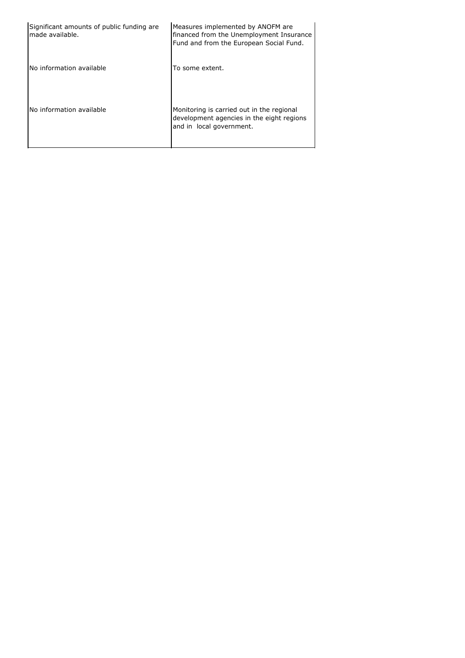| Significant amounts of public funding are<br>made available. | Measures implemented by ANOFM are<br>financed from the Unemployment Insurance<br>Fund and from the European Social Fund. |
|--------------------------------------------------------------|--------------------------------------------------------------------------------------------------------------------------|
| No information available                                     | To some extent.                                                                                                          |
| No information available                                     | Monitoring is carried out in the regional<br>development agencies in the eight regions<br>and in local government.       |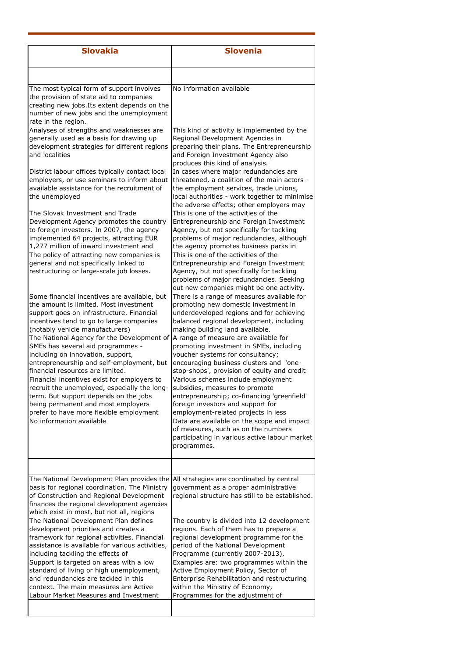| <b>Slovakia</b>                                                                                                                                                                                                                                                                                                                                                                                                                                                                                                                                                                                                                                                                  | <b>Slovenia</b>                                                                                                                                                                                                                                                                                                                                                                                                                                                                                                                                                                                                                                                                                                                                                                        |
|----------------------------------------------------------------------------------------------------------------------------------------------------------------------------------------------------------------------------------------------------------------------------------------------------------------------------------------------------------------------------------------------------------------------------------------------------------------------------------------------------------------------------------------------------------------------------------------------------------------------------------------------------------------------------------|----------------------------------------------------------------------------------------------------------------------------------------------------------------------------------------------------------------------------------------------------------------------------------------------------------------------------------------------------------------------------------------------------------------------------------------------------------------------------------------------------------------------------------------------------------------------------------------------------------------------------------------------------------------------------------------------------------------------------------------------------------------------------------------|
|                                                                                                                                                                                                                                                                                                                                                                                                                                                                                                                                                                                                                                                                                  |                                                                                                                                                                                                                                                                                                                                                                                                                                                                                                                                                                                                                                                                                                                                                                                        |
| The most typical form of support involves<br>the provision of state aid to companies<br>creating new jobs. Its extent depends on the<br>number of new jobs and the unemployment<br>rate in the region.                                                                                                                                                                                                                                                                                                                                                                                                                                                                           | No information available                                                                                                                                                                                                                                                                                                                                                                                                                                                                                                                                                                                                                                                                                                                                                               |
| Analyses of strengths and weaknesses are<br>generally used as a basis for drawing up<br>development strategies for different regions<br>and localities                                                                                                                                                                                                                                                                                                                                                                                                                                                                                                                           | This kind of activity is implemented by the<br>Regional Development Agencies in<br>preparing their plans. The Entrepreneurship<br>and Foreign Investment Agency also<br>produces this kind of analysis.                                                                                                                                                                                                                                                                                                                                                                                                                                                                                                                                                                                |
| District labour offices typically contact local<br>employers, or use seminars to inform about<br>available assistance for the recruitment of<br>the unemployed                                                                                                                                                                                                                                                                                                                                                                                                                                                                                                                   | In cases where major redundancies are<br>threatened, a coalition of the main actors -<br>the employment services, trade unions,<br>local authorities - work together to minimise                                                                                                                                                                                                                                                                                                                                                                                                                                                                                                                                                                                                       |
| The Slovak Investment and Trade<br>Development Agency promotes the country<br>to foreign investors. In 2007, the agency<br>implemented 64 projects, attracting EUR<br>1,277 million of inward investment and<br>The policy of attracting new companies is<br>general and not specifically linked to<br>restructuring or large-scale job losses.                                                                                                                                                                                                                                                                                                                                  | the adverse effects; other employers may<br>This is one of the activities of the<br>Entrepreneurship and Foreign Investment<br>Agency, but not specifically for tackling<br>problems of major redundancies, although<br>the agency promotes business parks in<br>This is one of the activities of the<br>Entrepreneurship and Foreign Investment<br>Agency, but not specifically for tackling<br>problems of major redundancies. Seeking<br>out new companies might be one activity.                                                                                                                                                                                                                                                                                                   |
| Some financial incentives are available, but<br>the amount is limited. Most investment<br>support goes on infrastructure. Financial<br>incentives tend to go to large companies<br>(notably vehicle manufacturers)<br>The National Agency for the Development of<br>SMEs has several aid programmes -<br>including on innovation, support,<br>entrepreneurship and self-employment, but<br>financial resources are limited.<br>Financial incentives exist for employers to<br>recruit the unemployed, especially the long-<br>term. But support depends on the jobs<br>being permanent and most employers<br>prefer to have more flexible employment<br>No information available | There is a range of measures available for<br>promoting new domestic investment in<br>underdeveloped regions and for achieving<br>balanced regional development, including<br>making building land available.<br>A range of measure are available for<br>promoting investment in SMEs, including<br>voucher systems for consultancy;<br>encouraging business clusters and 'one-<br>stop-shops', provision of equity and credit<br>Various schemes include employment<br>subsidies, measures to promote<br>entrepreneurship; co-financing 'greenfield'<br>foreign investors and support for<br>employment-related projects in less<br>Data are available on the scope and impact<br>of measures, such as on the numbers<br>participating in various active labour market<br>programmes. |
|                                                                                                                                                                                                                                                                                                                                                                                                                                                                                                                                                                                                                                                                                  |                                                                                                                                                                                                                                                                                                                                                                                                                                                                                                                                                                                                                                                                                                                                                                                        |
| The National Development Plan provides the<br>basis for regional coordination. The Ministry<br>of Construction and Regional Development<br>finances the regional development agencies<br>which exist in most, but not all, regions<br>The National Development Plan defines<br>development priorities and creates a<br>framework for regional activities. Financial<br>assistance is available for various activities,<br>including tackling the effects of<br>Support is targeted on areas with a low<br>standard of living or high unemployment,<br>and redundancies are tackled in this<br>context. The main measures are Active<br>Labour Market Measures and Investment     | All strategies are coordinated by central<br>government as a proper administrative<br>regional structure has still to be established.<br>The country is divided into 12 development<br>regions. Each of them has to prepare a<br>regional development programme for the<br>period of the National Development<br>Programme (currently 2007-2013),<br>Examples are: two programmes within the<br>Active Employment Policy, Sector of<br>Enterprise Rehabilitation and restructuring<br>within the Ministry of Economy,<br>Programmes for the adjustment of                                                                                                                                                                                                                              |
|                                                                                                                                                                                                                                                                                                                                                                                                                                                                                                                                                                                                                                                                                  |                                                                                                                                                                                                                                                                                                                                                                                                                                                                                                                                                                                                                                                                                                                                                                                        |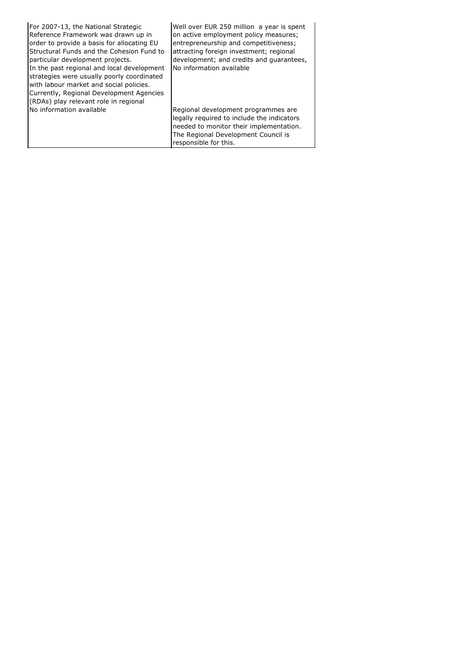| For 2007-13, the National Strategic<br>Reference Framework was drawn up in<br>order to provide a basis for allocating EU<br>Structural Funds and the Cohesion Fund to<br>particular development projects.<br>In the past regional and local development<br>strategies were usually poorly coordinated<br>with labour market and social policies.<br>Currently, Regional Development Agencies<br>(RDAs) play relevant role in regional | Well over EUR 250 million a year is spent<br>on active employment policy measures;<br>entrepreneurship and competitiveness;<br>attracting foreign investment; regional<br>development; and credits and quarantees,<br>No information available |
|---------------------------------------------------------------------------------------------------------------------------------------------------------------------------------------------------------------------------------------------------------------------------------------------------------------------------------------------------------------------------------------------------------------------------------------|------------------------------------------------------------------------------------------------------------------------------------------------------------------------------------------------------------------------------------------------|
| No information available                                                                                                                                                                                                                                                                                                                                                                                                              | Regional development programmes are<br>legally required to include the indicators<br>needed to monitor their implementation.<br>The Regional Development Council is<br>responsible for this.                                                   |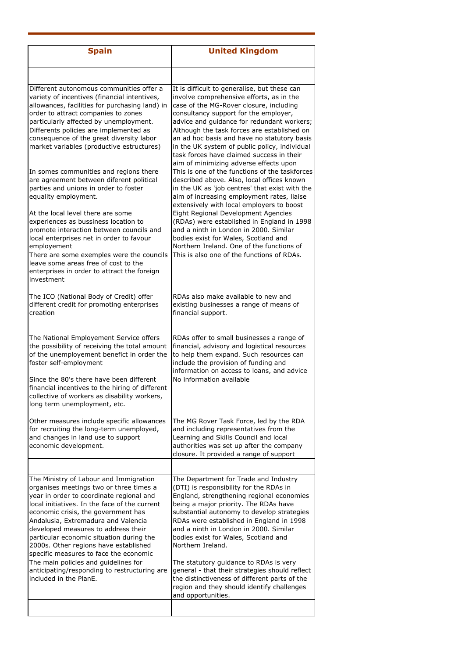| <b>Spain</b>                                                                                                                                                                                                                                                                                                                                                                                                                       | <b>United Kingdom</b>                                                                                                                                                                                                                                                                                                                                                                                                                                            |
|------------------------------------------------------------------------------------------------------------------------------------------------------------------------------------------------------------------------------------------------------------------------------------------------------------------------------------------------------------------------------------------------------------------------------------|------------------------------------------------------------------------------------------------------------------------------------------------------------------------------------------------------------------------------------------------------------------------------------------------------------------------------------------------------------------------------------------------------------------------------------------------------------------|
|                                                                                                                                                                                                                                                                                                                                                                                                                                    |                                                                                                                                                                                                                                                                                                                                                                                                                                                                  |
| Different autonomous communities offer a<br>variety of incentives (financial intentives,<br>allowances, facilities for purchasing land) in<br>order to attract companies to zones<br>particularly affected by unemployment.<br>Differents policies are implemented as<br>consequence of the great diversity labor<br>market variables (productive estructures)                                                                     | It is difficult to generalise, but these can<br>involve comprehensive efforts, as in the<br>case of the MG-Rover closure, including<br>consultancy support for the employer,<br>advice and guidance for redundant workers;<br>Although the task forces are established on<br>an ad hoc basis and have no statutory basis<br>in the UK system of public policy, individual<br>task forces have claimed success in their<br>aim of minimizing adverse effects upon |
| In somes communities and regions there<br>are agreement between diferent political<br>parties and unions in order to foster<br>equality employment.                                                                                                                                                                                                                                                                                | This is one of the functions of the taskforces<br>described above. Also, local offices known<br>in the UK as 'job centres' that exist with the<br>aim of increasing employment rates, liaise<br>extensively with local employers to boost                                                                                                                                                                                                                        |
| At the local level there are some<br>experiences as bussiness location to<br>promote interaction between councils and<br>local enterprises net in order to favour<br>employement<br>There are some exemples were the councils<br>leave some areas free of cost to the<br>enterprises in order to attract the foreign<br>investment                                                                                                 | Eight Regional Development Agencies<br>(RDAs) were established in England in 1998<br>and a ninth in London in 2000. Similar<br>bodies exist for Wales, Scotland and<br>Northern Ireland. One of the functions of<br>This is also one of the functions of RDAs.                                                                                                                                                                                                   |
| The ICO (National Body of Credit) offer<br>different credit for promoting enterprises<br>creation                                                                                                                                                                                                                                                                                                                                  | RDAs also make available to new and<br>existing businesses a range of means of<br>financial support.                                                                                                                                                                                                                                                                                                                                                             |
| The National Employement Service offers<br>the possibility of receiving the total amount<br>of the unemployement benefict in order the<br>foster self-employment<br>Since the 80's there have been different<br>financial incentives to the hiring of different<br>collective of workers as disability workers,<br>long term unemployment, etc.                                                                                    | RDAs offer to small businesses a range of<br>financial, advisory and logistical resources<br>to help them expand. Such resources can<br>include the provision of funding and<br>information on access to loans, and advice<br>No information available                                                                                                                                                                                                           |
| Other measures include specific allowances<br>for recruiting the long-term unemployed,<br>and changes in land use to support<br>economic development.                                                                                                                                                                                                                                                                              | The MG Rover Task Force, led by the RDA<br>and including representatives from the<br>Learning and Skills Council and local<br>authorities was set up after the company<br>closure. It provided a range of support                                                                                                                                                                                                                                                |
|                                                                                                                                                                                                                                                                                                                                                                                                                                    |                                                                                                                                                                                                                                                                                                                                                                                                                                                                  |
| The Ministry of Labour and Immigration<br>organises meetings two or three times a<br>year in order to coordinate regional and<br>local initiatives. In the face of the current<br>economic crisis, the government has<br>Andalusia, Extremadura and Valencia<br>developed measures to address their<br>particular economic situation during the<br>2000s. Other regions have established<br>specific measures to face the economic | The Department for Trade and Industry<br>(DTI) is responsibility for the RDAs in<br>England, strengthening regional economies<br>being a major priority. The RDAs have<br>substantial autonomy to develop strategies<br>RDAs were established in England in 1998<br>and a ninth in London in 2000. Similar<br>bodies exist for Wales, Scotland and<br>Northern Ireland.                                                                                          |
| The main policies and guidelines for<br>anticipating/responding to restructuring are<br>included in the PlanE.                                                                                                                                                                                                                                                                                                                     | The statutory guidance to RDAs is very<br>general - that their strategies should reflect<br>the distinctiveness of different parts of the<br>region and they should identify challenges<br>and opportunities.                                                                                                                                                                                                                                                    |
|                                                                                                                                                                                                                                                                                                                                                                                                                                    |                                                                                                                                                                                                                                                                                                                                                                                                                                                                  |